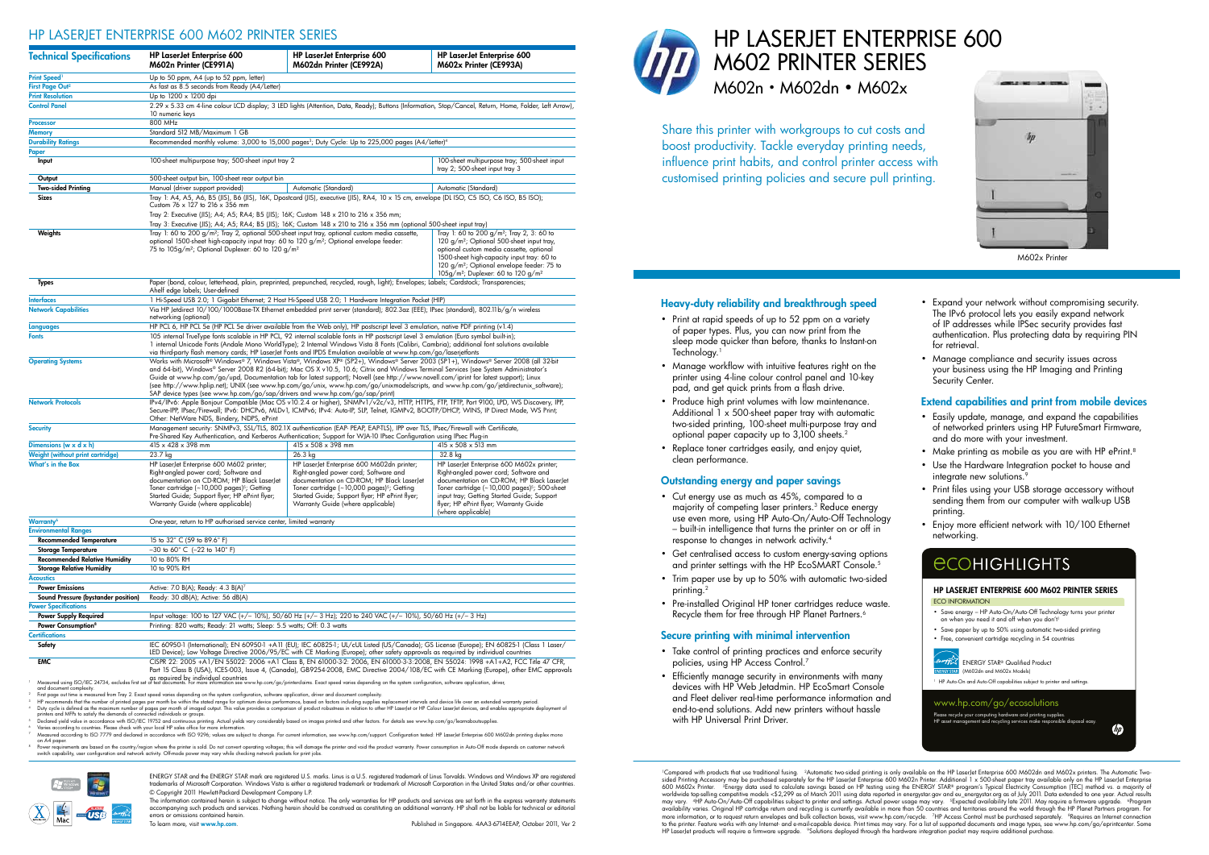- Print at rapid speeds of up to 52 ppm on a variety of paper types. Plus, you can now print from the sleep mode quicker than before, thanks to Instant-on Technology.<sup>1</sup>
- Manage workflow with intuitive features right on the printer using 4-line colour control panel and 10-key pad, and get quick prints from a flash drive.
- Produce high print volumes with low maintenance. Additional 1 x 500-sheet paper tray with automatic two-sided printing, 100-sheet multi-purpose tray and optional paper capacity up to 3,100 sheets.2
- Replace toner cartridges easily, and enjoy quiet, clean performance.

- Take control of printing practices and enforce security policies, using HP Access Control.<sup>7</sup>
- Efficiently manage security in environments with many devices with HP Web Jetadmin. HP EcoSmart Console and Fleet deliver real-time performance information and end-to-end solutions. Add new printers without hassle with HP Universal Print Driver.

<sup>1</sup>Compared with products that use traditional fusing. <sup>2</sup>Automatic two-sided printing is only available on the HP LaserJet Enterprise 600 M602dn and M602x printers. The Automatic Twosided Printing Accessory may be purchased separately for the HP LaserJet Enterprise 600 M602n Printer. Additional 1 x 500-sheet paper tray available only on the HP LaserJet Enterprise<br>600 M602x Printer. "Energy data used t may vary. "HP Auto-On/Auto-Off capabilities subject to printer and settings. Actual power usage may vary. "Expected availability late 2011. May require a firmware upgrade. "Program<br>availability varies. Original HP cartridg more information, or to request return envelopes and bulk collection boxes, visit www.hp.com/recycle. ZHP Access Control must be purchased separately. ®Requires an Internet connection<br>to the printer. Feature works with any HP LaserJet products will require a firmware upgrade. <sup>9</sup>Solutions deployed through the hardware integration pocket may require additional purchase





- Easily update, manage, and expand the capabilities of networked printers using HP FutureSmart Firmware, and do more with your investment.
- Make printing as mobile as you are with HP ePrint.<sup>8</sup>
- Use the Hardware Integration pocket to house and integrate new solutions.<sup>9</sup>
- • Print files using your USB storage accessory without sending them from our computer with walk-up USB printing.
- Enjoy more efficient network with 10/100 Ethernet networking.

# **ECOHIGHLIGHTS**

| <b>Technical Specifications</b>                                                                                                                                     | <b>HP LaserJet Enterprise 600</b><br>M602n Printer (CE991A)                                                                                                                                                                                                                                                                                                                                                                                                                                                                                                                                                                                                                                                                                                                                                                                                                                                                                                                                                                                                                                                               | HP LaserJet Enterprise 600<br>M602dn Printer (CE992A)                                                                                                                                                                                                                                                                                                                                                                                         | <b>HP LaserJet Enterprise 600</b><br>M602x Printer (CE993A)                                                                                                                                                                                                                                               |  |  |
|---------------------------------------------------------------------------------------------------------------------------------------------------------------------|---------------------------------------------------------------------------------------------------------------------------------------------------------------------------------------------------------------------------------------------------------------------------------------------------------------------------------------------------------------------------------------------------------------------------------------------------------------------------------------------------------------------------------------------------------------------------------------------------------------------------------------------------------------------------------------------------------------------------------------------------------------------------------------------------------------------------------------------------------------------------------------------------------------------------------------------------------------------------------------------------------------------------------------------------------------------------------------------------------------------------|-----------------------------------------------------------------------------------------------------------------------------------------------------------------------------------------------------------------------------------------------------------------------------------------------------------------------------------------------------------------------------------------------------------------------------------------------|-----------------------------------------------------------------------------------------------------------------------------------------------------------------------------------------------------------------------------------------------------------------------------------------------------------|--|--|
| Print Speed <sup>1</sup>                                                                                                                                            | Up to 50 ppm, A4 (up to 52 ppm, letter)                                                                                                                                                                                                                                                                                                                                                                                                                                                                                                                                                                                                                                                                                                                                                                                                                                                                                                                                                                                                                                                                                   |                                                                                                                                                                                                                                                                                                                                                                                                                                               |                                                                                                                                                                                                                                                                                                           |  |  |
| First Page Out <sup>2</sup>                                                                                                                                         | As fast as 8.5 seconds from Ready (A4/Letter)                                                                                                                                                                                                                                                                                                                                                                                                                                                                                                                                                                                                                                                                                                                                                                                                                                                                                                                                                                                                                                                                             |                                                                                                                                                                                                                                                                                                                                                                                                                                               |                                                                                                                                                                                                                                                                                                           |  |  |
| <b>Print Resolution</b>                                                                                                                                             | Up to 1200 x 1200 dpi                                                                                                                                                                                                                                                                                                                                                                                                                                                                                                                                                                                                                                                                                                                                                                                                                                                                                                                                                                                                                                                                                                     |                                                                                                                                                                                                                                                                                                                                                                                                                                               |                                                                                                                                                                                                                                                                                                           |  |  |
| <b>Control Panel</b>                                                                                                                                                | 2.29 x 5.33 cm 4-line colour LCD display; 3 LED lights (Attention, Data, Ready); Buttons (Information, Stop/Cancel, Return, Home, Folder, Left Arrow),<br>10 numeric keys                                                                                                                                                                                                                                                                                                                                                                                                                                                                                                                                                                                                                                                                                                                                                                                                                                                                                                                                                 |                                                                                                                                                                                                                                                                                                                                                                                                                                               |                                                                                                                                                                                                                                                                                                           |  |  |
| Processor                                                                                                                                                           | 800 MHz                                                                                                                                                                                                                                                                                                                                                                                                                                                                                                                                                                                                                                                                                                                                                                                                                                                                                                                                                                                                                                                                                                                   |                                                                                                                                                                                                                                                                                                                                                                                                                                               |                                                                                                                                                                                                                                                                                                           |  |  |
| Memory                                                                                                                                                              | Standard 512 MB/Maximum 1 GB                                                                                                                                                                                                                                                                                                                                                                                                                                                                                                                                                                                                                                                                                                                                                                                                                                                                                                                                                                                                                                                                                              |                                                                                                                                                                                                                                                                                                                                                                                                                                               |                                                                                                                                                                                                                                                                                                           |  |  |
| <b>Durability Ratings</b>                                                                                                                                           | Recommended monthly volume: 3,000 to 15,000 pages <sup>3</sup> ; Duty Cycle: Up to 225,000 pages (A4/Letter) <sup>4</sup>                                                                                                                                                                                                                                                                                                                                                                                                                                                                                                                                                                                                                                                                                                                                                                                                                                                                                                                                                                                                 |                                                                                                                                                                                                                                                                                                                                                                                                                                               |                                                                                                                                                                                                                                                                                                           |  |  |
| Paper<br>Input                                                                                                                                                      | 100-sheet multipurpose tray; 500-sheet input<br>100-sheet multipurpose tray; 500-sheet input tray 2<br>tray 2; 500-sheet input tray 3                                                                                                                                                                                                                                                                                                                                                                                                                                                                                                                                                                                                                                                                                                                                                                                                                                                                                                                                                                                     |                                                                                                                                                                                                                                                                                                                                                                                                                                               |                                                                                                                                                                                                                                                                                                           |  |  |
| Output                                                                                                                                                              | 500-sheet output bin, 100-sheet rear output bin                                                                                                                                                                                                                                                                                                                                                                                                                                                                                                                                                                                                                                                                                                                                                                                                                                                                                                                                                                                                                                                                           |                                                                                                                                                                                                                                                                                                                                                                                                                                               |                                                                                                                                                                                                                                                                                                           |  |  |
| <b>Two-sided Printing</b>                                                                                                                                           | Manual (driver support provided)                                                                                                                                                                                                                                                                                                                                                                                                                                                                                                                                                                                                                                                                                                                                                                                                                                                                                                                                                                                                                                                                                          | Automatic (Standard)                                                                                                                                                                                                                                                                                                                                                                                                                          | Automatic (Standard)                                                                                                                                                                                                                                                                                      |  |  |
| Sizes                                                                                                                                                               | Tray 1: A4, A5, A6, B5 (JIS), B6 (JIS), 16K, Dpostcard (JIS), executive (JIS), RA4, 10 x 15 cm, envelope (DL ISO, C5 ISO, C6 ISO, B5 ISO);<br>Custom 76 x 127 to 216 x 356 mm<br>Tray 2: Executive (JIS); A4; A5; RA4; B5 (JIS); 16K; Custom 148 x 210 to 216 x 356 mm;<br>Tray 3: Executive (JIS); A4; A5; RA4; B5 (JIS); 16K; Custom 148 x 210 to 216 x 356 mm (optional 500-sheet input tray)                                                                                                                                                                                                                                                                                                                                                                                                                                                                                                                                                                                                                                                                                                                          |                                                                                                                                                                                                                                                                                                                                                                                                                                               |                                                                                                                                                                                                                                                                                                           |  |  |
| Weights                                                                                                                                                             | Tray 1: 60 to 200 g/m <sup>2</sup> ; Tray 2, 3: 60 to<br>Tray 1: 60 to 200 $q/m^2$ ; Tray 2, optional 500-sheet input tray, optional custom media cassette,<br>optional 1500-sheet high-capacity input tray: 60 to 120 $g/m^2$ ; Optional envelope feeder:<br>120 g/m <sup>2</sup> ; Optional 500-sheet input tray,<br>75 to 105q/m <sup>2</sup> ; Optional Duplexer: 60 to 120 q/m <sup>2</sup><br>optional custom media cassette, optional<br>1500-sheet high-capacity input tray: 60 to<br>120 $g/m^2$ ; Optional envelope feeder: 75 to<br>$105g/m^2$ ; Duplexer: 60 to 120 g/m <sup>2</sup>                                                                                                                                                                                                                                                                                                                                                                                                                                                                                                                          |                                                                                                                                                                                                                                                                                                                                                                                                                                               |                                                                                                                                                                                                                                                                                                           |  |  |
| <b>Types</b>                                                                                                                                                        | Paper (bond, colour, letterhead, plain, preprinted, prepunched, recycled, rough, light); Envelopes; Labels; Cardstock; Transparencies;<br>Ahelf edge labels; User-defined                                                                                                                                                                                                                                                                                                                                                                                                                                                                                                                                                                                                                                                                                                                                                                                                                                                                                                                                                 |                                                                                                                                                                                                                                                                                                                                                                                                                                               |                                                                                                                                                                                                                                                                                                           |  |  |
| <b>Interfaces</b>                                                                                                                                                   |                                                                                                                                                                                                                                                                                                                                                                                                                                                                                                                                                                                                                                                                                                                                                                                                                                                                                                                                                                                                                                                                                                                           | 1 Hi-Speed USB 2.0; 1 Gigabit Ethernet; 2 Host Hi-Speed USB 2.0; 1 Hardware Integration Pocket (HIP)                                                                                                                                                                                                                                                                                                                                          |                                                                                                                                                                                                                                                                                                           |  |  |
| <b>Network Capabilities</b>                                                                                                                                         | Via HP Jetdirect 10/100/1000Base-TX Ethernet embedded print server (standard); 802.3az (EEE); IPsec (standard), 802.11b/q/n wireless<br>networking (optional)                                                                                                                                                                                                                                                                                                                                                                                                                                                                                                                                                                                                                                                                                                                                                                                                                                                                                                                                                             |                                                                                                                                                                                                                                                                                                                                                                                                                                               |                                                                                                                                                                                                                                                                                                           |  |  |
| Languages<br><b>Fonts</b>                                                                                                                                           | HP PCL 6, HP PCL 5e (HP PCL 5e driver available from the Web only), HP postscript level 3 emulation, native PDF printing (v1.4)<br>105 internal TrueType fonts scalable in HP PCL, 92 internal scalable fonts in HP postscript Level 3 emulation (Euro symbol built-in);<br>1 internal Unicode Fonts (Andale Mono WorldType); 2 Internal Windows Vista 8 Fonts (Calibri, Cambria); additional font solutions available<br>via third-party flash memory cards; HP LaserJet Fonts and IPDS Emulation available at www.hp.com/go/laserjetfonts                                                                                                                                                                                                                                                                                                                                                                                                                                                                                                                                                                               |                                                                                                                                                                                                                                                                                                                                                                                                                                               |                                                                                                                                                                                                                                                                                                           |  |  |
| <b>Operating Systems</b>                                                                                                                                            | Works with Microsoft® Windows® 7, Windows Vista®, Windows XP® (SP2+), Windows® Server 2003 (SP1+), Windows® Server 2008 (all 32-bit<br>and 64-bit), Windows® Server 2008 R2 (64-bit); Mac OS X v10.5, 10.6; Citrix and Windows Terminal Services (see System Administrator's<br>Guide at www.hp.com/go/upd, Documentation tab for latest support); Novell (see http://www.novell.com/iprint for latest support); Linux<br>(see http://www.hplip.net); UNIX (see www.hp.com/go/unix, www.hp.com/go/unixmodelscripts, and www.hp.com/go/jetdirectunix_software);<br>SAP device types (see www.hp.com/go/sap/drivers and www.hp.com/go/sap/print)                                                                                                                                                                                                                                                                                                                                                                                                                                                                            |                                                                                                                                                                                                                                                                                                                                                                                                                                               |                                                                                                                                                                                                                                                                                                           |  |  |
| <b>Network Protocols</b>                                                                                                                                            | IPv4/IPv6: Apple Bonjour Compatible (Mac OS v10.2.4 or higher), SNMPv1/v2c/v3, HTTP, HTTPS, FTP, TFTP, Port 9100, LPD, WS Discovery, IPP,<br>Secure-IPP, IPsec/Firewall; IPv6: DHCPv6, MLDv1, ICMPv6; IPv4: Auto-IP, SLP, Telnet, IGMPv2, BOOTP/DHCP, WINS, IP Direct Mode, WS Print;<br>Other: NetWare NDS, Bindery, NDPS, ePrint                                                                                                                                                                                                                                                                                                                                                                                                                                                                                                                                                                                                                                                                                                                                                                                        |                                                                                                                                                                                                                                                                                                                                                                                                                                               |                                                                                                                                                                                                                                                                                                           |  |  |
| <b>Security</b>                                                                                                                                                     |                                                                                                                                                                                                                                                                                                                                                                                                                                                                                                                                                                                                                                                                                                                                                                                                                                                                                                                                                                                                                                                                                                                           | Management security: SNMPv3, SSL/TLS, 802.1X authentication (EAP- PEAP, EAP-TLS), IPP over TLS, IPsec/Firewall with Certificate,<br>Pre-Shared Key Authentication, and Kerberos Authentication; Support for WJA-10 IPsec Configuration using IPsec Plug-in                                                                                                                                                                                    |                                                                                                                                                                                                                                                                                                           |  |  |
| Dimensions (w $\times$ d $\times$ h)                                                                                                                                | 415 x 428 x 398 mm                                                                                                                                                                                                                                                                                                                                                                                                                                                                                                                                                                                                                                                                                                                                                                                                                                                                                                                                                                                                                                                                                                        | 415 x 508 x 398 mm                                                                                                                                                                                                                                                                                                                                                                                                                            | 415 x 508 x 513 mm                                                                                                                                                                                                                                                                                        |  |  |
| <b>Weight (without print cartridge)</b>                                                                                                                             | 23.7 kg                                                                                                                                                                                                                                                                                                                                                                                                                                                                                                                                                                                                                                                                                                                                                                                                                                                                                                                                                                                                                                                                                                                   | 26.3 kg                                                                                                                                                                                                                                                                                                                                                                                                                                       | 32.8 kg                                                                                                                                                                                                                                                                                                   |  |  |
| <b>What's in the Box</b>                                                                                                                                            | HP LaserJet Enterprise 600 M602 printer;<br>Right-angled power cord; Software and<br>documentation on CD-ROM; HP Black LaserJet<br>Toner cartridge (~10,000 pages) <sup>5</sup> ; Getting<br>Started Guide; Support flyer; HP ePrint flyer;<br>Warranty Guide (where applicable)                                                                                                                                                                                                                                                                                                                                                                                                                                                                                                                                                                                                                                                                                                                                                                                                                                          | HP LaserJet Enterprise 600 M602dn printer;<br>Right-angled power cord; Software and<br>documentation on CD-ROM; HP Black LaserJet<br>Toner cartridge (~10,000 pages) <sup>5</sup> ; Getting<br>Started Guide; Support flyer; HP ePrint flyer;<br>Warranty Guide (where applicable)                                                                                                                                                            | HP LaserJet Enterprise 600 M602x printer;<br>Right-angled power cord; Software and<br>documentation on CD-ROM; HP Black LaserJet<br>Toner cartridge $(-10,000 \text{ pages})^5$ ; 500-sheet<br>input tray; Getting Started Guide; Support<br>flyer; HP ePrint flyer; Warranty Guide<br>(where applicable) |  |  |
| <b>Warranty</b> <sup>6</sup>                                                                                                                                        | One-year, return to HP authorised service center, limited warranty                                                                                                                                                                                                                                                                                                                                                                                                                                                                                                                                                                                                                                                                                                                                                                                                                                                                                                                                                                                                                                                        |                                                                                                                                                                                                                                                                                                                                                                                                                                               |                                                                                                                                                                                                                                                                                                           |  |  |
| <b>Environmental Ranges</b>                                                                                                                                         |                                                                                                                                                                                                                                                                                                                                                                                                                                                                                                                                                                                                                                                                                                                                                                                                                                                                                                                                                                                                                                                                                                                           |                                                                                                                                                                                                                                                                                                                                                                                                                                               |                                                                                                                                                                                                                                                                                                           |  |  |
| <b>Recommended Temperature</b>                                                                                                                                      | 15 to 32° C (59 to 89.6° F)                                                                                                                                                                                                                                                                                                                                                                                                                                                                                                                                                                                                                                                                                                                                                                                                                                                                                                                                                                                                                                                                                               |                                                                                                                                                                                                                                                                                                                                                                                                                                               |                                                                                                                                                                                                                                                                                                           |  |  |
| <b>Storage Temperature</b>                                                                                                                                          | $-30$ to 60° C (-22 to 140° F)                                                                                                                                                                                                                                                                                                                                                                                                                                                                                                                                                                                                                                                                                                                                                                                                                                                                                                                                                                                                                                                                                            |                                                                                                                                                                                                                                                                                                                                                                                                                                               |                                                                                                                                                                                                                                                                                                           |  |  |
| <b>Recommended Relative Humidity</b>                                                                                                                                | 10 to 80% RH                                                                                                                                                                                                                                                                                                                                                                                                                                                                                                                                                                                                                                                                                                                                                                                                                                                                                                                                                                                                                                                                                                              |                                                                                                                                                                                                                                                                                                                                                                                                                                               |                                                                                                                                                                                                                                                                                                           |  |  |
| <b>Storage Relative Humidity</b>                                                                                                                                    | 10 to 90% RH                                                                                                                                                                                                                                                                                                                                                                                                                                                                                                                                                                                                                                                                                                                                                                                                                                                                                                                                                                                                                                                                                                              |                                                                                                                                                                                                                                                                                                                                                                                                                                               |                                                                                                                                                                                                                                                                                                           |  |  |
| <b>Acoustics</b>                                                                                                                                                    |                                                                                                                                                                                                                                                                                                                                                                                                                                                                                                                                                                                                                                                                                                                                                                                                                                                                                                                                                                                                                                                                                                                           |                                                                                                                                                                                                                                                                                                                                                                                                                                               |                                                                                                                                                                                                                                                                                                           |  |  |
| <b>Power Emissions</b>                                                                                                                                              | Active: 7.0 B(A); Ready: 4.3 B(A)7                                                                                                                                                                                                                                                                                                                                                                                                                                                                                                                                                                                                                                                                                                                                                                                                                                                                                                                                                                                                                                                                                        |                                                                                                                                                                                                                                                                                                                                                                                                                                               |                                                                                                                                                                                                                                                                                                           |  |  |
| Sound Pressure (bystander position)                                                                                                                                 | Ready: 30 dB(A); Active: 56 dB(A)                                                                                                                                                                                                                                                                                                                                                                                                                                                                                                                                                                                                                                                                                                                                                                                                                                                                                                                                                                                                                                                                                         |                                                                                                                                                                                                                                                                                                                                                                                                                                               |                                                                                                                                                                                                                                                                                                           |  |  |
| <b>Power Specifications</b>                                                                                                                                         |                                                                                                                                                                                                                                                                                                                                                                                                                                                                                                                                                                                                                                                                                                                                                                                                                                                                                                                                                                                                                                                                                                                           |                                                                                                                                                                                                                                                                                                                                                                                                                                               |                                                                                                                                                                                                                                                                                                           |  |  |
| Power Supply Required<br>Power Consumption <sup>8</sup>                                                                                                             | Input voltage: 100 to 127 VAC (+/- 10%), 50/60 Hz (+/- 3 Hz); 220 to 240 VAC (+/- 10%), 50/60 Hz (+/- 3 Hz)<br>Printing: 820 watts; Ready: 21 watts; Sleep: 5.5 watts; Off: 0.3 watts                                                                                                                                                                                                                                                                                                                                                                                                                                                                                                                                                                                                                                                                                                                                                                                                                                                                                                                                     |                                                                                                                                                                                                                                                                                                                                                                                                                                               |                                                                                                                                                                                                                                                                                                           |  |  |
| <b>Certifications</b>                                                                                                                                               |                                                                                                                                                                                                                                                                                                                                                                                                                                                                                                                                                                                                                                                                                                                                                                                                                                                                                                                                                                                                                                                                                                                           |                                                                                                                                                                                                                                                                                                                                                                                                                                               |                                                                                                                                                                                                                                                                                                           |  |  |
| Safety                                                                                                                                                              | IEC 60950-1 (International); EN 60950-1 +A11 (EU); IEC 60825-1; UL/cUL Listed (US/Canada); GS License (Europe); EN 60825-1 (Class 1 Laser/<br>LED Device); Low Voltage Directive 2006/95/EC with CE Marking (Europe); other safety approvals as required by individual countries                                                                                                                                                                                                                                                                                                                                                                                                                                                                                                                                                                                                                                                                                                                                                                                                                                          |                                                                                                                                                                                                                                                                                                                                                                                                                                               |                                                                                                                                                                                                                                                                                                           |  |  |
| EMC<br>Measured using ISO/IEC 24734, excludes first set<br>and document complexity.<br>printers and MFPs to satisfy the demands of connected individuals or groups. | CISPR 22: 2005 +A1/EN 55022: 2006 +A1 Class B, EN 61000-3-2: 2006, EN 61000-3-3:2008, EN 55024: 1998 +A1+A2, FCC Title 47 CFR,<br>Part 15 Class B (USA), ICES-003, Issue 4, (Canada), GB9254-2008, EMC Directive 2004/108/EC with CE Marking (Europe), other EMC approvals<br>as required by individual countries<br>of test documents. For more information see www.hp.com/go/printerclaims. Exact speed varies depending on the system configuration, software application, driver,<br>First page out time is measured from Tray 2. Exact speed varies depending on the system configuration, software application, driver and document complexity.<br>HP recommends that the number of printed pages per month be within the stated range for optimum device performance, based on factors including supplies replacement intervals and device life over an extended warranty period<br>Duty cycle is defined as the maximum number of pages per month of imaged output. This value provides a comparison of product robustness in relation to other HP LaserJet or HP Colour LaserJet devices, and enables appropriat |                                                                                                                                                                                                                                                                                                                                                                                                                                               |                                                                                                                                                                                                                                                                                                           |  |  |
| Varies according to countries. Please check with your local HP sales office for more information.                                                                   |                                                                                                                                                                                                                                                                                                                                                                                                                                                                                                                                                                                                                                                                                                                                                                                                                                                                                                                                                                                                                                                                                                                           | Declared yield value in accordance with ISO/IEC 19752 and continuous printing. Actual yields vary considerably based on images printed and other factors. For details see www.hp.com/go/learnaboutsupplies.<br>Measured according to ISO 7779 and declared in accordance with ISO 9296; values are subject to change. For current information, see www.hp.com/support. Configuration tested: HP LaserJet Enterprise 600 M602dn printing duple |                                                                                                                                                                                                                                                                                                           |  |  |

on A4 paper.<br>® Power requirements are based on the country/region where the printer is sold. Do not convert operating voltages; this will damage the printer and void the product warranty. Power consumption in Auto-Off mode



ENERGY STAR and the ENERGY STAR mark are registered U.S. marks. Linus is a U.S. registered trademark of Linus Torvalds. Windows and Windows XP are registered<br>trademarks of Microsoft Corporation. Windows Vista is either a r © Copyright 2011 Hewlett-Packard Development Company L.P.

The information contained herein is subject to change without notice. The only warranties for HP products and services are set forth in the express warranty statements accompanying such products and services. Nothing herein should be construed as constituting an additional warranty. HP shall not be liable for technical or editorial errors or omissions contained herein.

## Heavy-duty reliability and breakthrough speed

- ECO INFORMATION • Save energy – HP Auto-On/Auto-Off Technology turns your printer on when you need it and off when you don't
- • Save paper by up to 50% using automatic two-sided printing
- Free, convenient cartridge recycling in 54 countries



## Outstanding energy and paper savings

- Cut energy use as much as 45%, compared to a majority of competing laser printers.3 Reduce energy use even more, using HP Auto-On/Auto-Off Technology – built-in intelligence that turns the printer on or off in response to changes in network activity.4
- Get centralised access to custom energy-saving options and printer settings with the HP EcoSMART Console.5
- Trim paper use by up to 50% with automatic two-sided printing.
- Pre-installed Original HP toner cartridges reduce waste. Recycle them for free through HP Planet Partners.<sup>6</sup>

## Secure printing with minimal intervention

## Extend capabilities and print from mobile devices

# HP LASERJET ENTERPRISE 600 M602 PRINTER SERIES M602n • M602dn • M602x

Share this printer with workgroups to cut costs and boost productivity. Tackle everyday printing needs, influence print habits, and control printer access with customised printing policies and secure pull printing.

# HP LASERJET ENTERPRISE 600 M602 PRINTER SERIES

To learn more, visit www.hp.com. Published in Singapore. 4AA3-6714EEAP, October 2011, Ver 2



M602x Printer

- Expand your network without compromising security. The IPv6 protocol lets you easily expand network of IP addresses while IPSec security provides fast authentication. Plus protecting data by requiring PIN for retrieval.
- Manage compliance and security issues across your business using the HP Imaging and Printing Security Center.

Please recycle your computing hardware and printing supplies. HP asset management and recycling services make responsible disposal easy.

 $\overline{\psi}$ 

## www.hp.com/go/ecosolutions

## HP LASERJET ENTERPRISE 600 M602 PRINTER SERIES

<sup>1</sup> HP Auto-On and Auto-Off capabilities subject to printer and settings.

ENERGY STAR® Qualified Product (M602dn and M602x Models)